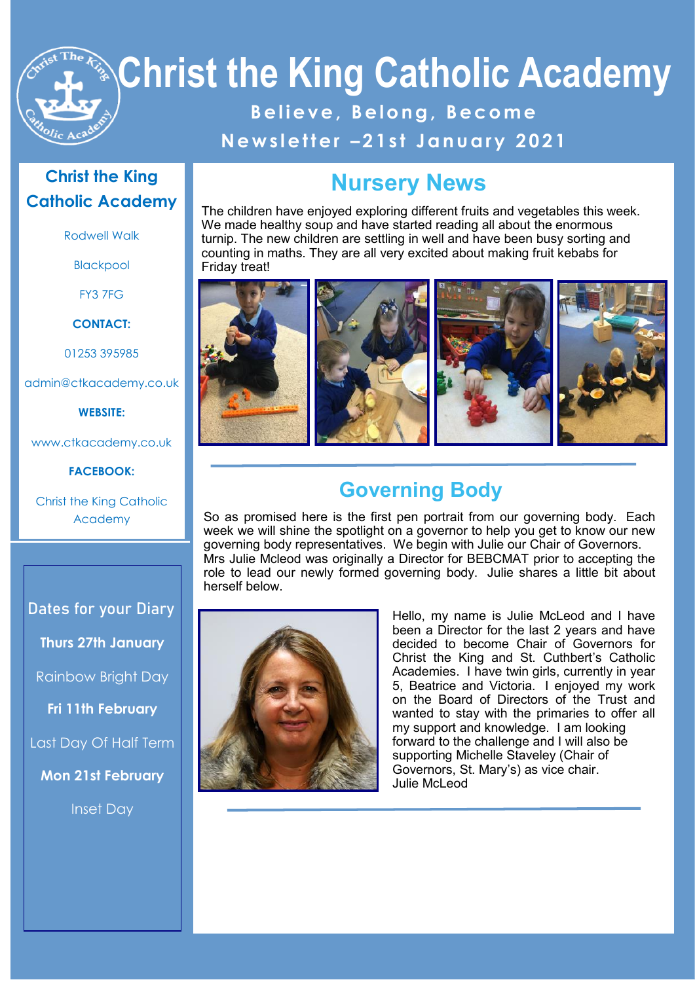# **Christ the King Catholic Academy B e l i e v e , B e l o n g , B e c o m e N e w s l e t t e r – 2 1 s t J a n u a r y 2 0 2 1**

### **Christ the King Catholic Academy**

Rodwell Walk

Blackpool

FY3 7FG

**CONTACT:**

01253 395985

admin@ctkacademy.co.uk

**WEBSITE:**

www.ctkacademy.co.uk

**FACEBOOK:**

Christ the King Catholic Academy

**Dates for your Diary Thurs 27th January** Rainbow Bright Day **Fri 11th February** Last Day Of Half Term

**Mon 21st February**

Inset Day

### **Nursery News**

The children have enjoyed exploring different fruits and vegetables this week. We made healthy soup and have started reading all about the enormous turnip. The new children are settling in well and have been busy sorting and counting in maths. They are all very excited about making fruit kebabs for Friday treat!



### **Governing Body**

So as promised here is the first pen portrait from our governing body. Each week we will shine the spotlight on a governor to help you get to know our new governing body representatives. We begin with Julie our Chair of Governors. Mrs Julie Mcleod was originally a Director for BEBCMAT prior to accepting the role to lead our newly formed governing body. Julie shares a little bit about herself below.



Hello, my name is Julie McLeod and I have been a Director for the last 2 years and have decided to become Chair of Governors for Christ the King and St. Cuthbert's Catholic Academies. I have twin girls, currently in year 5, Beatrice and Victoria. I enjoyed my work on the Board of Directors of the Trust and wanted to stay with the primaries to offer all my support and knowledge. I am looking forward to the challenge and I will also be supporting Michelle Staveley (Chair of Governors, St. Mary's) as vice chair. Julie McLeod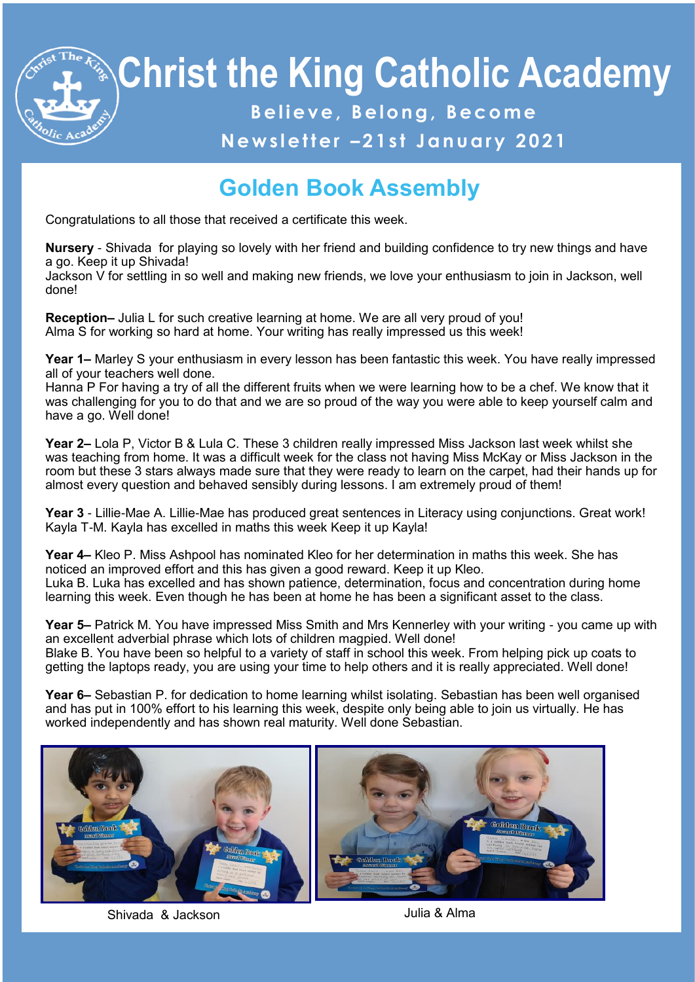# **Christ the King Catholic Academy B e l i e v e , B e l o n g , B e c o m e**

### **N e w s l e t t e r – 2 1 s t J a n u a r y 2 0 2 1**

## **Golden Book Assembly**

Congratulations to all those that received a certificate this week.

**Nursery** - Shivada for playing so lovely with her friend and building confidence to try new things and have a go. Keep it up Shivada!

Jackson V for settling in so well and making new friends, we love your enthusiasm to join in Jackson, well done!

**Reception–** Julia L for such creative learning at home. We are all very proud of you! Alma S for working so hard at home. Your writing has really impressed us this week!

**Year 1–** Marley S your enthusiasm in every lesson has been fantastic this week. You have really impressed all of your teachers well done.

Hanna P For having a try of all the different fruits when we were learning how to be a chef. We know that it was challenging for you to do that and we are so proud of the way you were able to keep yourself calm and have a go. Well done!

**Year 2–** Lola P, Victor B & Lula C. These 3 children really impressed Miss Jackson last week whilst she was teaching from home. It was a difficult week for the class not having Miss McKay or Miss Jackson in the room but these 3 stars always made sure that they were ready to learn on the carpet, had their hands up for almost every question and behaved sensibly during lessons. I am extremely proud of them!

**Year 3** - Lillie-Mae A. Lillie-Mae has produced great sentences in Literacy using conjunctions. Great work! Kayla T-M. Kayla has excelled in maths this week Keep it up Kayla!

**Year 4–** Kleo P. Miss Ashpool has nominated Kleo for her determination in maths this week. She has noticed an improved effort and this has given a good reward. Keep it up Kleo. Luka B. Luka has excelled and has shown patience, determination, focus and concentration during home learning this week. Even though he has been at home he has been a significant asset to the class.

**Year 5–** Patrick M. You have impressed Miss Smith and Mrs Kennerley with your writing - you came up with an excellent adverbial phrase which lots of children magpied. Well done! Blake B. You have been so helpful to a variety of staff in school this week. From helping pick up coats to getting the laptops ready, you are using your time to help others and it is really appreciated. Well done!

**Year 6–** Sebastian P. for dedication to home learning whilst isolating. Sebastian has been well organised and has put in 100% effort to his learning this week, despite only being able to join us virtually. He has worked independently and has shown real maturity. Well done Sebastian.



Shivada & Jackson **Julia & Alma** 

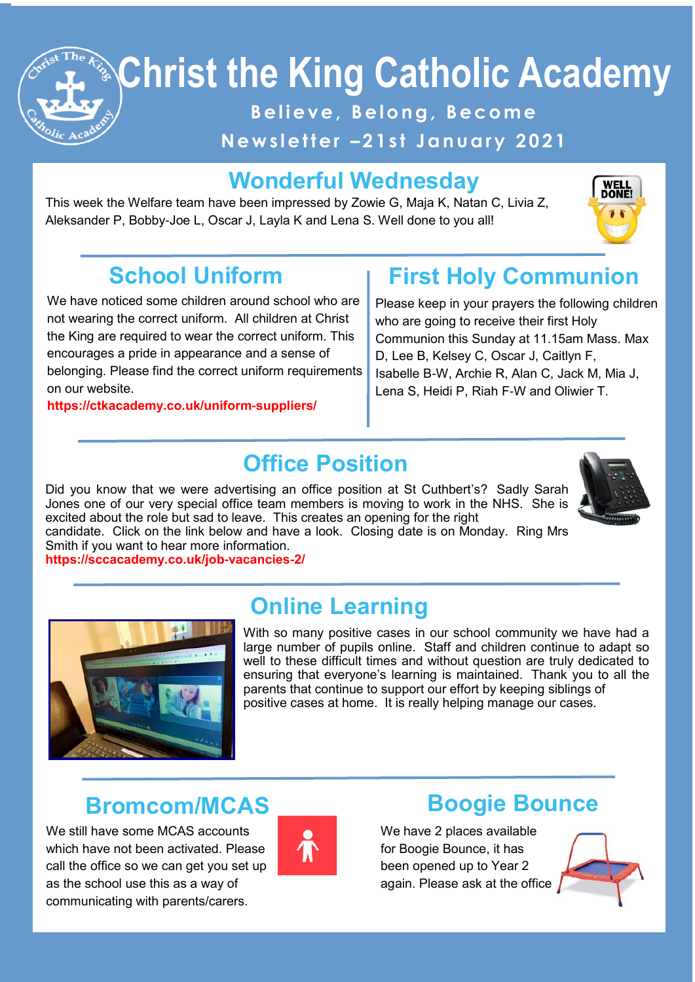

# **Christ the King Catholic Academy**

**B e l i e v e , B e l o n g , B e c o m e**

**N e w s l e t t e r – 2 1 s t J a n u a r y 2 0 2 1**

## **Wonderful Wednesday**

This week the Welfare team have been impressed by Zowie G, Maja K, Natan C, Livia Z, Aleksander P, Bobby-Joe L, Oscar J, Layla K and Lena S. Well done to you all!



# **School Uniform**

We have noticed some children around school who are not wearing the correct uniform. All children at Christ the King are required to wear the correct uniform. This encourages a pride in appearance and a sense of belonging. Please find the correct uniform requirements on our website.

#### **https://ctkacademy.co.uk/uniform-suppliers/**

## **First Holy Communion**

Please keep in your prayers the following children who are going to receive their first Holy Communion this Sunday at 11.15am Mass. Max D, Lee B, Kelsey C, Oscar J, Caitlyn F, Isabelle B-W, Archie R, Alan C, Jack M, Mia J, Lena S, Heidi P, Riah F-W and Oliwier T.

### **Office Position**

Did you know that we were advertising an office position at St Cuthbert's? Sadly Sarah Jones one of our very special office team members is moving to work in the NHS. She is excited about the role but sad to leave. This creates an opening for the right



candidate. Click on the link below and have a look. Closing date is on Monday. Ring Mrs Smith if you want to hear more information.

https://sccacademy.co.uk/job-vacancies-2/<br> **https://sccacademy.co.uk/job-vacancies-2/** 



### **Online Learning**

With so many positive cases in our school community we have had a large number of pupils online. Staff and children continue to adapt so well to these difficult times and without question are truly dedicated to ensuring that everyone's learning is maintained. Thank you to all the parents that continue to support our effort by keeping siblings of positive cases at home. It is really helping manage our cases.

### **Bromcom/MCAS**

We still have some MCAS accounts which have not been activated. Please call the office so we can get you set up as the school use this as a way of communicating with parents/carers.



### **Boogie Bounce**

We have 2 places available for Boogie Bounce, it has been opened up to Year 2 again. Please ask at the office